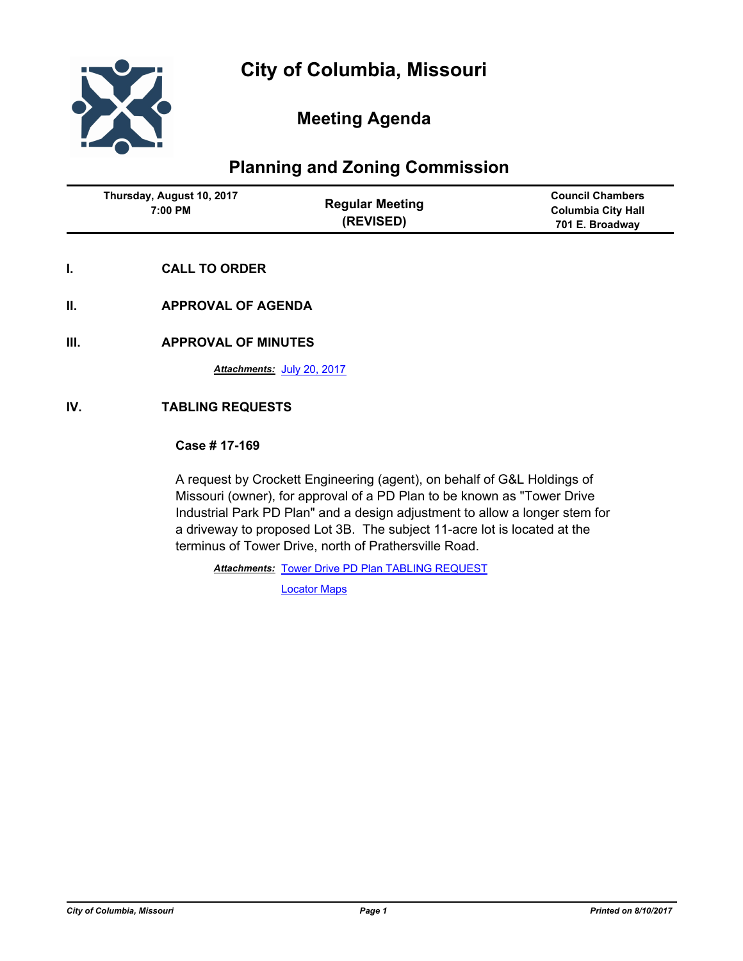

# **Meeting Agenda**

# **Planning and Zoning Commission**

| Thursday, August 10, 2017<br>7:00 PM | <b>Regular Meeting</b><br>(REVISED) | <b>Council Chambers</b><br><b>Columbia City Hall</b><br>701 E. Broadway |
|--------------------------------------|-------------------------------------|-------------------------------------------------------------------------|
|--------------------------------------|-------------------------------------|-------------------------------------------------------------------------|

- **I. CALL TO ORDER**
- **II. APPROVAL OF AGENDA**
- **III. APPROVAL OF MINUTES**

*Attachments:* [July 20, 2017](http://gocolumbiamo.legistar.com/gateway.aspx?M=F&ID=6ac94c80-7730-4f0d-8f71-9822b4946e77.docx)

# **IV. TABLING REQUESTS**

## **Case # 17-169**

A request by Crockett Engineering (agent), on behalf of G&L Holdings of Missouri (owner), for approval of a PD Plan to be known as "Tower Drive Industrial Park PD Plan" and a design adjustment to allow a longer stem for a driveway to proposed Lot 3B. The subject 11-acre lot is located at the terminus of Tower Drive, north of Prathersville Road.

**Attachments: [Tower Drive PD Plan TABLING REQUEST](http://gocolumbiamo.legistar.com/gateway.aspx?M=F&ID=c358f060-8380-4c25-88be-582f15e57497.pdf)** 

[Locator Maps](http://gocolumbiamo.legistar.com/gateway.aspx?M=F&ID=4c27227a-bf55-462f-910b-833b38fc057f.pdf)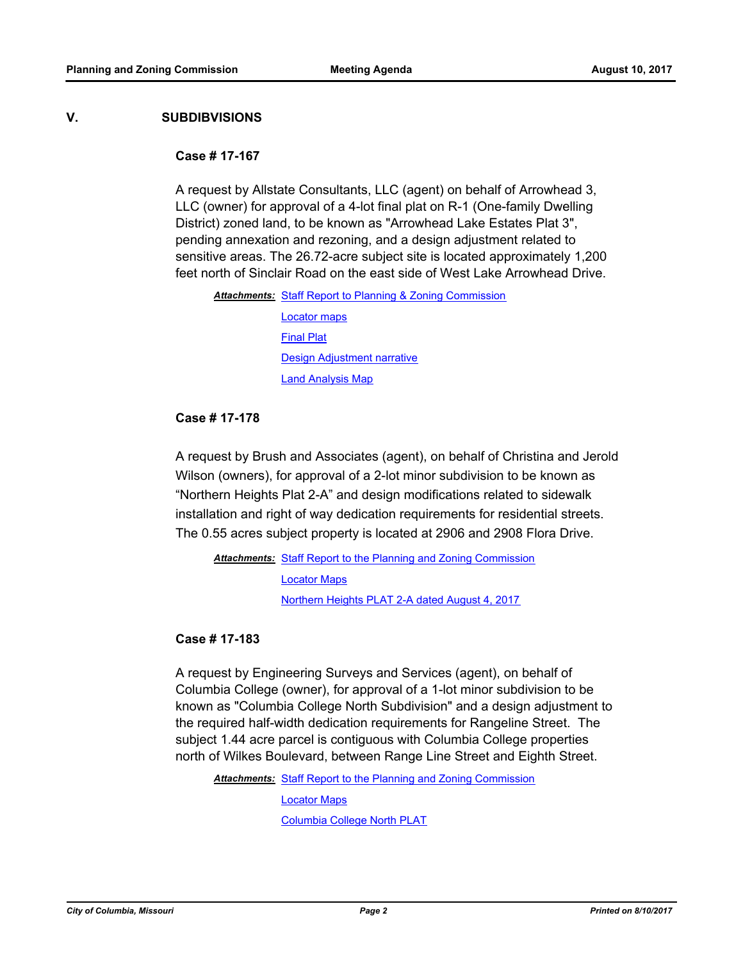## **V. SUBDIBVISIONS**

### **Case # 17-167**

A request by Allstate Consultants, LLC (agent) on behalf of Arrowhead 3, LLC (owner) for approval of a 4-lot final plat on R-1 (One-family Dwelling District) zoned land, to be known as "Arrowhead Lake Estates Plat 3", pending annexation and rezoning, and a design adjustment related to sensitive areas. The 26.72-acre subject site is located approximately 1,200 feet north of Sinclair Road on the east side of West Lake Arrowhead Drive.

Attachments: [Staff Report to Planning & Zoning Commission](http://gocolumbiamo.legistar.com/gateway.aspx?M=F&ID=d58259b8-59b2-4061-8eb0-1caaa3c4e658.pdf)

[Locator maps](http://gocolumbiamo.legistar.com/gateway.aspx?M=F&ID=bac17039-05e3-4fc5-b0ba-3963d8ac286a.pdf) [Final Plat](http://gocolumbiamo.legistar.com/gateway.aspx?M=F&ID=4535deda-c573-499f-b31c-2a660d9c2745.pdf) [Design Adjustment narrative](http://gocolumbiamo.legistar.com/gateway.aspx?M=F&ID=7fb0c5bf-8731-441c-808f-bf0eaf12e55d.pdf) [Land Analysis Map](http://gocolumbiamo.legistar.com/gateway.aspx?M=F&ID=2686306b-0075-488c-a523-dec002bf8379.pdf)

**Case # 17-178**

A request by Brush and Associates (agent), on behalf of Christina and Jerold Wilson (owners), for approval of a 2-lot minor subdivision to be known as "Northern Heights Plat 2-A" and design modifications related to sidewalk installation and right of way dedication requirements for residential streets. The 0.55 acres subject property is located at 2906 and 2908 Flora Drive.

Attachments: [Staff Report to the Planning and Zoning Commission](http://gocolumbiamo.legistar.com/gateway.aspx?M=F&ID=4356be81-6ef4-4a34-b40e-8c8f70ab92d2.docx) [Locator Maps](http://gocolumbiamo.legistar.com/gateway.aspx?M=F&ID=6c1f5b86-969a-4bae-bdc3-9a4f62fbed87.pdf) [Northern Heights PLAT 2-A dated August 4, 2017](http://gocolumbiamo.legistar.com/gateway.aspx?M=F&ID=549088da-d8be-4158-9634-4ebbcc548455.pdf)

**Case # 17-183**

A request by Engineering Surveys and Services (agent), on behalf of Columbia College (owner), for approval of a 1-lot minor subdivision to be known as "Columbia College North Subdivision" and a design adjustment to the required half-width dedication requirements for Rangeline Street. The subject 1.44 acre parcel is contiguous with Columbia College properties north of Wilkes Boulevard, between Range Line Street and Eighth Street.

**Attachments: [Staff Report to the Planning and Zoning Commission](http://gocolumbiamo.legistar.com/gateway.aspx?M=F&ID=a5e68f7b-e564-48d6-a9ae-8bbac013a188.docx)** 

[Locator Maps](http://gocolumbiamo.legistar.com/gateway.aspx?M=F&ID=a9a7effe-5670-40ff-981a-3ee1a4561482.pdf) [Columbia College North PLAT](http://gocolumbiamo.legistar.com/gateway.aspx?M=F&ID=bc76b1e0-4663-41d0-8987-3e18a15e99bd.pdf)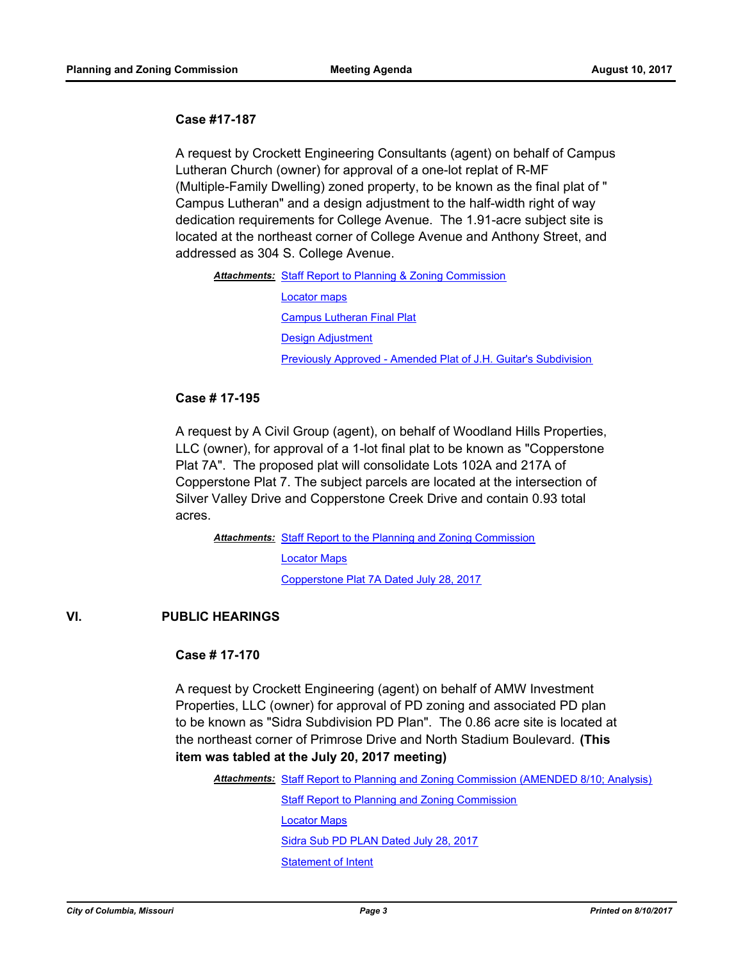## **Case #17-187**

A request by Crockett Engineering Consultants (agent) on behalf of Campus Lutheran Church (owner) for approval of a one-lot replat of R-MF (Multiple-Family Dwelling) zoned property, to be known as the final plat of " Campus Lutheran" and a design adjustment to the half-width right of way dedication requirements for College Avenue. The 1.91-acre subject site is located at the northeast corner of College Avenue and Anthony Street, and addressed as 304 S. College Avenue.

#### Attachments: [Staff Report to Planning & Zoning Commission](http://gocolumbiamo.legistar.com/gateway.aspx?M=F&ID=02920f0a-bdec-4b60-8d12-a8afed80d7c8.pdf)

[Locator maps](http://gocolumbiamo.legistar.com/gateway.aspx?M=F&ID=71fc1c1a-0102-4ee9-a15f-065fa14846eb.pdf) [Campus Lutheran Final Plat](http://gocolumbiamo.legistar.com/gateway.aspx?M=F&ID=1ec88df0-b3b9-4362-928b-46e9a3d6c0f1.pdf) [Design Adjustment](http://gocolumbiamo.legistar.com/gateway.aspx?M=F&ID=d688dc13-07f1-4df7-8f22-1499df5569d9.pdf) [Previously Approved - Amended Plat of J.H. Guitar's Subdivision](http://gocolumbiamo.legistar.com/gateway.aspx?M=F&ID=9347faa9-6963-4b20-99df-b86481538595.pdf)

## **Case # 17-195**

A request by A Civil Group (agent), on behalf of Woodland Hills Properties, LLC (owner), for approval of a 1-lot final plat to be known as "Copperstone Plat 7A". The proposed plat will consolidate Lots 102A and 217A of Copperstone Plat 7. The subject parcels are located at the intersection of Silver Valley Drive and Copperstone Creek Drive and contain 0.93 total acres.

Attachments: [Staff Report to the Planning and Zoning Commission](http://gocolumbiamo.legistar.com/gateway.aspx?M=F&ID=76face86-773b-44f6-9508-32e64da47f23.docx)

[Locator Maps](http://gocolumbiamo.legistar.com/gateway.aspx?M=F&ID=8db8229a-bdfe-4936-9a48-ef05a33d7cd9.pdf)

[Copperstone Plat 7A Dated July 28, 2017](http://gocolumbiamo.legistar.com/gateway.aspx?M=F&ID=b7a15f4e-0cf0-48a8-bd00-29d0fc7382ab.pdf)

## **VI. PUBLIC HEARINGS**

## **Case # 17-170**

A request by Crockett Engineering (agent) on behalf of AMW Investment Properties, LLC (owner) for approval of PD zoning and associated PD plan to be known as "Sidra Subdivision PD Plan". The 0.86 acre site is located at the northeast corner of Primrose Drive and North Stadium Boulevard. **(This item was tabled at the July 20, 2017 meeting)**

Attachments: [Staff Report to Planning and Zoning Commission \(AMENDED 8/10; Analysis\)](http://gocolumbiamo.legistar.com/gateway.aspx?M=F&ID=013417ec-5613-49ff-b134-77c44eabd2e7.docx)

**[Staff Report to Planning and Zoning Commission](http://gocolumbiamo.legistar.com/gateway.aspx?M=F&ID=c5257307-af26-493c-9fba-c60cc3fb4104.docx)** 

[Locator Maps](http://gocolumbiamo.legistar.com/gateway.aspx?M=F&ID=456c2bcd-b4fa-4319-9f7d-b64e01bb2bab.pdf)

[Sidra Sub PD PLAN Dated July 28, 2017](http://gocolumbiamo.legistar.com/gateway.aspx?M=F&ID=4fbe383c-da8a-4484-aa00-a807f87a4572.pdf)

[Statement of Intent](http://gocolumbiamo.legistar.com/gateway.aspx?M=F&ID=b67273c6-9231-4f8f-85d1-3f51594e4906.pdf)